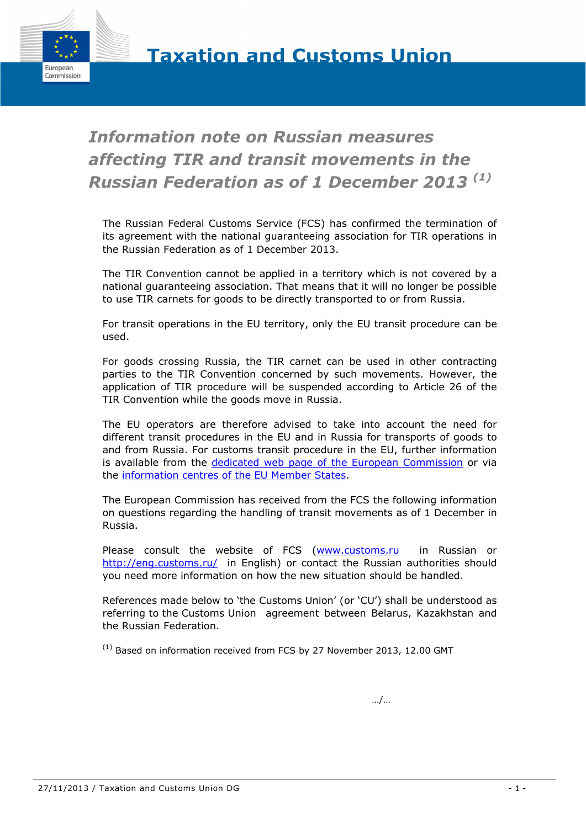

# *Information note on Russian measures affecting TIR and transit movements in the Russian Federation as of 1 December 2013 (1)*

The Russian Federal Customs Service (FCS) has confirmed the termination of its agreement with the national guaranteeing association for TIR operations in the Russian Federation as of 1 December 2013.

The TIR Convention cannot be applied in a territory which is not covered by a national guaranteeing association. That means that it will no longer be possible to use TIR carnets for goods to be directly transported to or from Russia.

For transit operations in the EU territory, only the EU transit procedure can be used.

For goods crossing Russia, the TIR carnet can be used in other contracting parties to the TIR Convention concerned by such movements. However, the application of TIR procedure will be suspended according to Article 26 of the TIR Convention while the goods move in Russia.

The EU operators are therefore advised to take into account the need for different transit procedures in the EU and in Russia for transports of goods to and from Russia. For customs transit procedure in the EU, further information is available from the [dedicated web page of the European Commission](http://ec.europa.eu/taxation_customs/customs/procedural_aspects/transit/common_community/index_en.htm) or via the [information centres of the EU Member States.](http://ec.europa.eu/ecip/help/national_helpdesks/index_en.htm)

The European Commission has received from the FCS the following information on questions regarding the handling of transit movements as of 1 December in Russia.

Please consult the website of FCS [\(www.customs.ru](http://www.customs.ru/) in Russian or <http://eng.customs.ru/>in English) or contact the Russian authorities should you need more information on how the new situation should be handled.

References made below to 'the Customs Union' (or 'CU') shall be understood as referring to the Customs Union agreement between Belarus, Kazakhstan and the Russian Federation.

 $(1)$  Based on information received from FCS by 27 November 2013, 12.00 GMT

…/…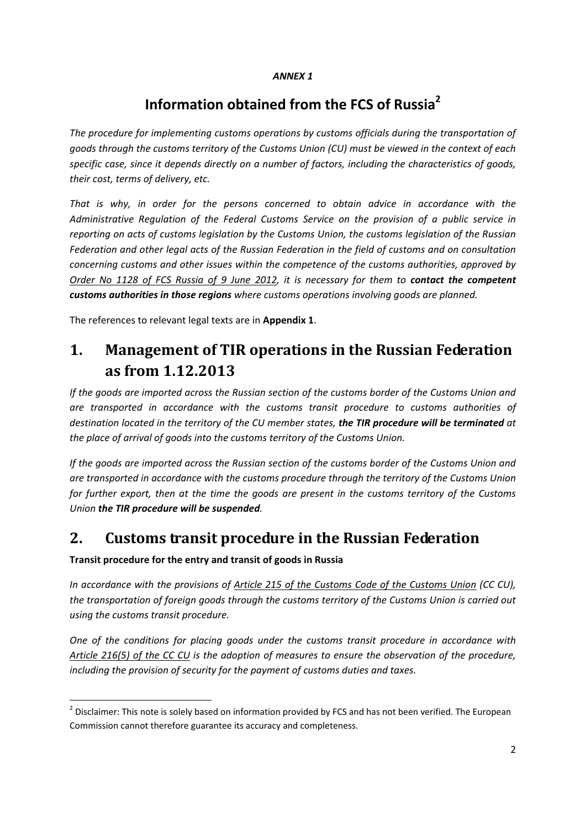#### *ANNEX 1*

## **Information obtained from the FCS of Russia2**

*The procedure for implementing customs operations by customs officials during the transportation of goods through the customs territory of the Customs Union (CU) must be viewed in the context of each specific case, since it depends directly on a number of factors, including the characteristics of goods, their cost, terms of delivery, etc.* 

*That is why, in order for the persons concerned to obtain advice in accordance with the Administrative Regulation of the Federal Customs Service on the provision of a public service in reporting on acts of customs legislation by the Customs Union, the customs legislation of the Russian Federation and other legal acts of the Russian Federation in the field of customs and on consultation concerning customs and other issues within the competence of the customs authorities, approved by Order No 1128 of FCS Russia of 9 June 2012, it is necessary for them to contact the competent customs authorities in those regions where customs operations involving goods are planned.* 

The references to relevant legal texts are in **Appendix 1**.

## **1. Management of TIR operations in the Russian Federation as from 1.12.2013**

*If the goods are imported across the Russian section of the customs border of the Customs Union and are transported in accordance with the customs transit procedure to customs authorities of destination located in the territory of the CU member states, the TIR procedure will be terminated at the place of arrival of goods into the customs territory of the Customs Union.* 

*If the goods are imported across the Russian section of the customs border of the Customs Union and are transported in accordance with the customs procedure through the territory of the Customs Union for further export, then at the time the goods are present in the customs territory of the Customs Union the TIR procedure will be suspended.* 

## **2. Customs transit procedure in the Russian Federation**

#### **Transit procedure for the entry and transit of goods in Russia**

**.** 

*In accordance with the provisions of Article 215 of the Customs Code of the Customs Union (CC CU), the transportation of foreign goods through the customs territory of the Customs Union is carried out using the customs transit procedure.* 

*One of the conditions for placing goods under the customs transit procedure in accordance with Article 216(5) of the CC CU is the adoption of measures to ensure the observation of the procedure, including the provision of security for the payment of customs duties and taxes.* 

 $2$  Disclaimer: This note is solely based on information provided by FCS and has not been verified. The European Commission cannot therefore guarantee its accuracy and completeness.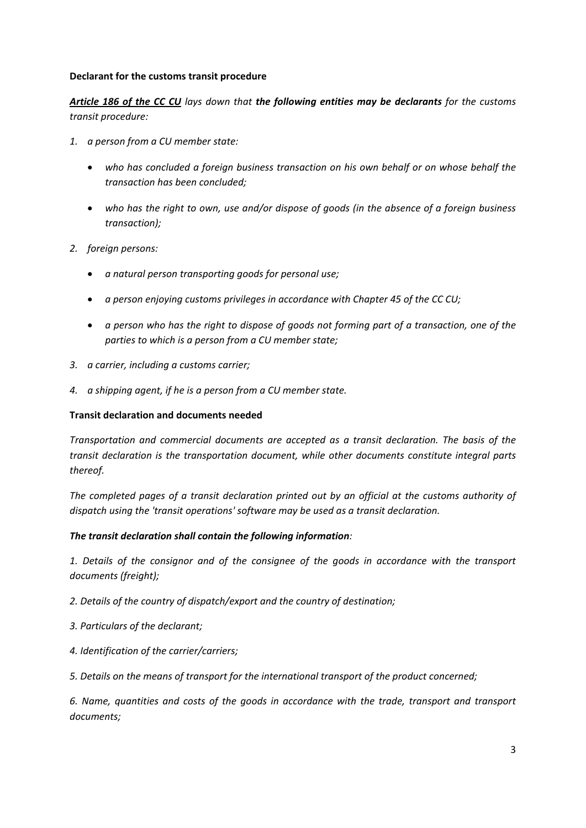#### **Declarant for the customs transit procedure**

*Article 186 of the CC CU lays down that the following entities may be declarants for the customs transit procedure:* 

- *1. a person from a CU member state:* 
	- *who has concluded a foreign business transaction on his own behalf or on whose behalf the transaction has been concluded;*
	- *who has the right to own, use and/or dispose of goods (in the absence of a foreign business transaction);*
- *2. foreign persons:* 
	- *a natural person transporting goods for personal use;*
	- *a person enjoying customs privileges in accordance with Chapter 45 of the CC CU;*
	- *a person who has the right to dispose of goods not forming part of a transaction, one of the parties to which is a person from a CU member state;*
- *3. a carrier, including a customs carrier;*
- *4. a shipping agent, if he is a person from a CU member state.*

#### **Transit declaration and documents needed**

*Transportation and commercial documents are accepted as a transit declaration. The basis of the transit declaration is the transportation document, while other documents constitute integral parts thereof.* 

*The completed pages of a transit declaration printed out by an official at the customs authority of dispatch using the 'transit operations' software may be used as a transit declaration.* 

#### *The transit declaration shall contain the following information:*

*1. Details of the consignor and of the consignee of the goods in accordance with the transport documents (freight);* 

*2. Details of the country of dispatch/export and the country of destination;* 

- *3. Particulars of the declarant;*
- *4. Identification of the carrier/carriers;*

*5. Details on the means of transport for the international transport of the product concerned;* 

*6. Name, quantities and costs of the goods in accordance with the trade, transport and transport documents;*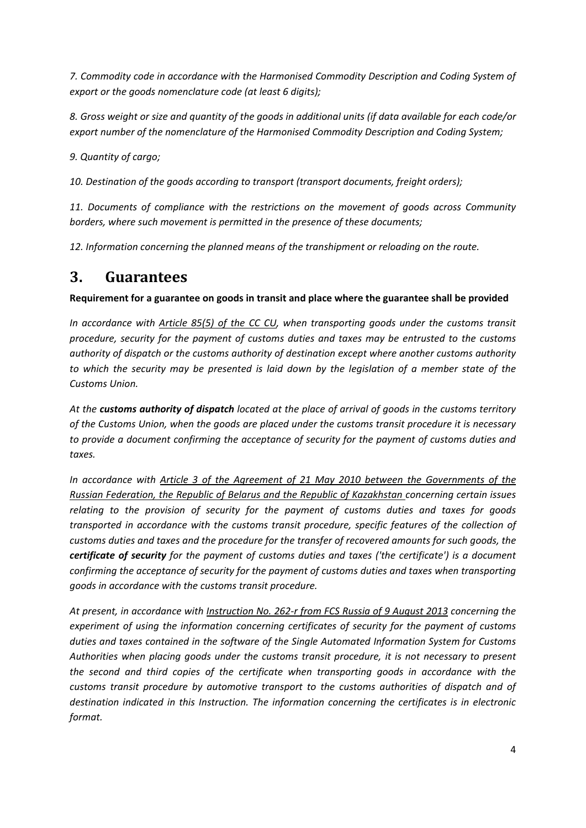*7. Commodity code in accordance with the Harmonised Commodity Description and Coding System of export or the goods nomenclature code (at least 6 digits);* 

*8. Gross weight or size and quantity of the goods in additional units (if data available for each code/or export number of the nomenclature of the Harmonised Commodity Description and Coding System;* 

*9. Quantity of cargo;* 

*10. Destination of the goods according to transport (transport documents, freight orders);* 

*11. Documents of compliance with the restrictions on the movement of goods across Community borders, where such movement is permitted in the presence of these documents;* 

*12. Information concerning the planned means of the transhipment or reloading on the route.* 

## **3. Guarantees**

**Requirement for a guarantee on goods in transit and place where the guarantee shall be provided** 

*In accordance with Article 85(5) of the CC CU, when transporting goods under the customs transit procedure, security for the payment of customs duties and taxes may be entrusted to the customs authority of dispatch or the customs authority of destination except where another customs authority to which the security may be presented is laid down by the legislation of a member state of the Customs Union.* 

*At the customs authority of dispatch located at the place of arrival of goods in the customs territory of the Customs Union, when the goods are placed under the customs transit procedure it is necessary to provide a document confirming the acceptance of security for the payment of customs duties and taxes.* 

*In accordance with Article 3 of the Agreement of 21 May 2010 between the Governments of the Russian Federation, the Republic of Belarus and the Republic of Kazakhstan concerning certain issues relating to the provision of security for the payment of customs duties and taxes for goods transported in accordance with the customs transit procedure, specific features of the collection of customs duties and taxes and the procedure for the transfer of recovered amounts for such goods, the certificate of security for the payment of customs duties and taxes ('the certificate') is a document confirming the acceptance of security for the payment of customs duties and taxes when transporting goods in accordance with the customs transit procedure.* 

*At present, in accordance with Instruction No. 262-r from FCS Russia of 9 August 2013 concerning the experiment of using the information concerning certificates of security for the payment of customs duties and taxes contained in the software of the Single Automated Information System for Customs Authorities when placing goods under the customs transit procedure, it is not necessary to present the second and third copies of the certificate when transporting goods in accordance with the customs transit procedure by automotive transport to the customs authorities of dispatch and of destination indicated in this Instruction. The information concerning the certificates is in electronic format.*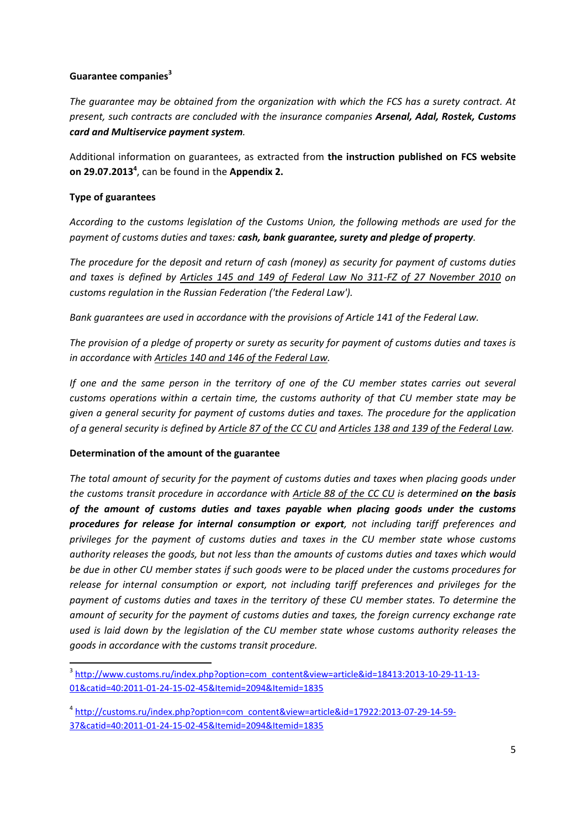#### **[Guarantee companies](http://www.customs.ru/index.php?option=com_content&view=article&id=18413:2013-10-29-11-13-01&catid=40:2011-01-24-15-02-45&Itemid=2094&Itemid=1835)<sup>3</sup>**

*The guarantee may be obtained from the organization with which the FCS has a surety contract. At present, such contracts are concluded with the insurance companies Arsenal, Adal, Rostek, Customs card and Multiservice payment system.* 

Additional information on guarantees, as extracted from **the instruction published on FCS website on 29.07.2013<sup>4</sup>** , can be found in the **Appendix 2.**

#### **Type of guarantees**

*According to the customs legislation of the Customs Union, the following methods are used for the payment of customs duties and taxes: cash, bank guarantee, surety and pledge of property.* 

*The procedure for the deposit and return of cash (money) as security for payment of customs duties and taxes is defined by Articles 145 and 149 of Federal Law No 311-FZ of 27 November 2010 on customs regulation in the Russian Federation ('the Federal Law').* 

*Bank guarantees are used in accordance with the provisions of Article 141 of the Federal Law.* 

*The provision of a pledge of property or surety as security for payment of customs duties and taxes is in accordance with Articles 140 and 146 of the Federal Law.* 

*If one and the same person in the territory of one of the CU member states carries out several customs operations within a certain time, the customs authority of that CU member state may be given a general security for payment of customs duties and taxes. The procedure for the application of a general security is defined by Article 87 of the CC CU and Articles 138 and 139 of the Federal Law.* 

#### **Determination of the amount of the guarantee**

*The total amount of security for the payment of customs duties and taxes when placing goods under the customs transit procedure in accordance with Article 88 of the CC CU is determined on the basis of the amount of customs duties and taxes payable when placing goods under the customs procedures for release for internal consumption or export, not including tariff preferences and privileges for the payment of customs duties and taxes in the CU member state whose customs authority releases the goods, but not less than the amounts of customs duties and taxes which would be due in other CU member states if such goods were to be placed under the customs procedures for release for internal consumption or export, not including tariff preferences and privileges for the payment of customs duties and taxes in the territory of these CU member states. To determine the amount of security for the payment of customs duties and taxes, the foreign currency exchange rate used is laid down by the legislation of the CU member state whose customs authority releases the goods in accordance with the customs transit procedure.* 

**<sup>.</sup>** <sup>3</sup> http://www.customs.ru/index.php?option=com\_content&view=article&id=18413:2013-10-29-11-13- [01&catid=40:2011-01-24-15-02-45&Itemid=2094&Itemid=1835](http://www.customs.ru/index.php?option=com_content&view=article&id=18413:2013-10-29-11-13-01&catid=40:2011-01-24-15-02-45&Itemid=2094&Itemid=1835) 

<sup>4</sup> [http://customs.ru/index.php?option=com\\_content&view=article&id=17922:2013-07-29-14-59-](http://customs.ru/index.php?option=com_content&view=article&id=17922:2013-07-29-14-59-37&catid=40:2011-01-24-15-02-45&Itemid=2094&Itemid=1835) [37&catid=40:2011-01-24-15-02-45&Itemid=2094&Itemid=1835](http://customs.ru/index.php?option=com_content&view=article&id=17922:2013-07-29-14-59-37&catid=40:2011-01-24-15-02-45&Itemid=2094&Itemid=1835)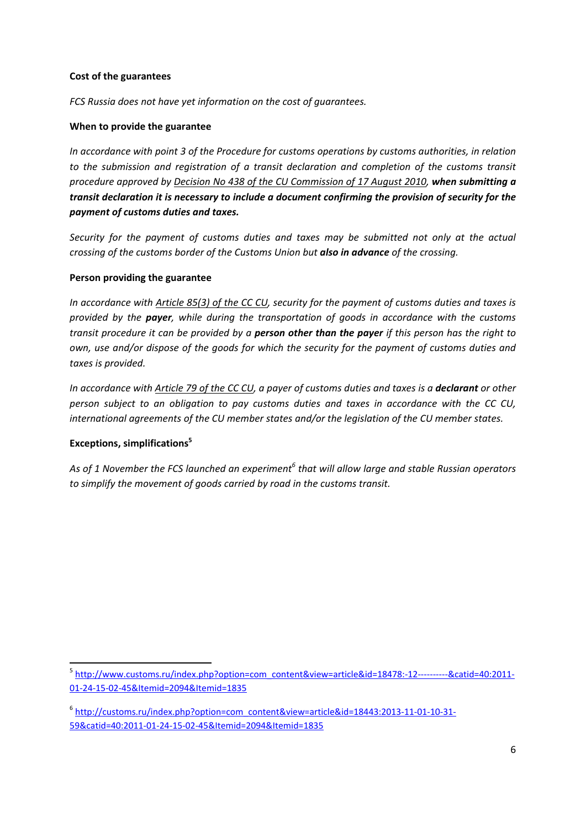#### **Cost of the guarantees**

*FCS Russia does not have yet information on the cost of guarantees.* 

#### **When to provide the guarantee**

*In accordance with point 3 of the Procedure for customs operations by customs authorities, in relation to the submission and registration of a transit declaration and completion of the customs transit procedure approved by Decision No 438 of the CU Commission of 17 August 2010, when submitting a transit declaration it is necessary to include a document confirming the provision of security for the payment of customs duties and taxes.* 

*Security for the payment of customs duties and taxes may be submitted not only at the actual crossing of the customs border of the Customs Union but also in advance of the crossing.*

#### **Person providing the guarantee**

*In accordance with Article 85(3) of the CC CU, security for the payment of customs duties and taxes is provided by the payer, while during the transportation of goods in accordance with the customs transit procedure it can be provided by a person other than the payer if this person has the right to own, use and/or dispose of the goods for which the security for the payment of customs duties and taxes is provided.* 

*In accordance with Article 79 of the CC CU, a payer of customs duties and taxes is a declarant or other person subject to an obligation to pay customs duties and taxes in accordance with the CC CU, international agreements of the CU member states and/or the legislation of the CU member states.* 

#### **[Exceptions, simplifications5](http://www.customs.ru/index.php?option=com_content&view=article&id=18478:-12----------&catid=40:2011-01-24-15-02-45&Itemid=2094&Itemid=1835)**

**.** 

*As of 1 November the FCS launched an experiment<sup>6</sup> that will allow large and stable Russian operators to simplify the movement of goods carried by road in the customs transit.* 

<sup>5</sup> http://www.customs.ru/index.php?option=com\_content&view=article&id=18478:-12----------&catid=40:2011- [01-24-15-02-45&Itemid=2094&Itemid=1835](http://www.customs.ru/index.php?option=com_content&view=article&id=18478:-12----------&catid=40:2011-01-24-15-02-45&Itemid=2094&Itemid=1835) 

<sup>6</sup> [http://customs.ru/index.php?option=com\\_content&view=article&id=18443:2013-11-01-10-31-](http://customs.ru/index.php?option=com_content&view=article&id=18443:2013-11-01-10-31-59&catid=40:2011-01-24-15-02-45&Itemid=2094&Itemid=1835) [59&catid=40:2011-01-24-15-02-45&Itemid=2094&Itemid=1835](http://customs.ru/index.php?option=com_content&view=article&id=18443:2013-11-01-10-31-59&catid=40:2011-01-24-15-02-45&Itemid=2094&Itemid=1835)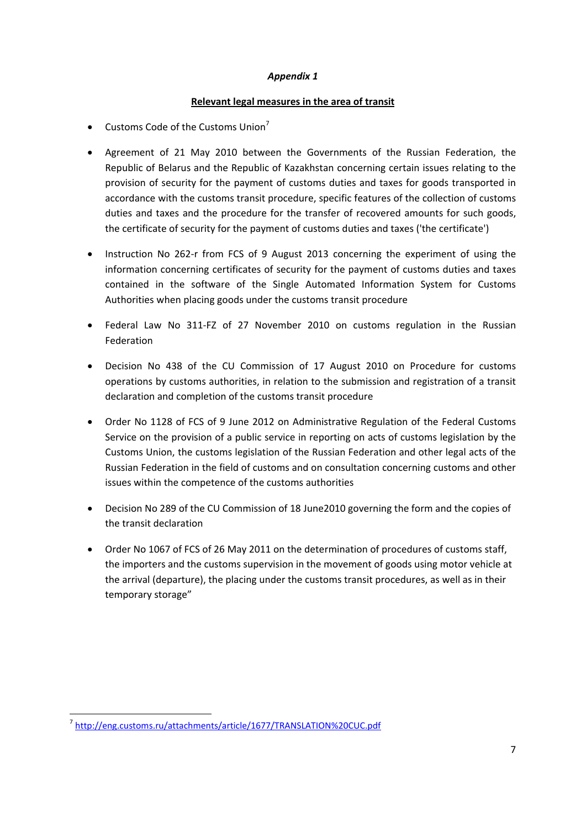#### *Appendix 1*

#### **Relevant legal measures in the area of transit**

- Customs Code of the Customs Union<sup>7</sup>
- Agreement of 21 May 2010 between the Governments of the Russian Federation, the Republic of Belarus and the Republic of Kazakhstan concerning certain issues relating to the provision of security for the payment of customs duties and taxes for goods transported in accordance with the customs transit procedure, specific features of the collection of customs duties and taxes and the procedure for the transfer of recovered amounts for such goods, the certificate of security for the payment of customs duties and taxes ('the certificate')
- Instruction No 262-r from FCS of 9 August 2013 concerning the experiment of using the information concerning certificates of security for the payment of customs duties and taxes contained in the software of the Single Automated Information System for Customs Authorities when placing goods under the customs transit procedure
- Federal Law No 311-FZ of 27 November 2010 on customs regulation in the Russian Federation
- Decision No 438 of the CU Commission of 17 August 2010 on Procedure for customs operations by customs authorities, in relation to the submission and registration of a transit declaration and completion of the customs transit procedure
- Order No 1128 of FCS of 9 June 2012 on Administrative Regulation of the Federal Customs Service on the provision of a public service in reporting on acts of customs legislation by the Customs Union, the customs legislation of the Russian Federation and other legal acts of the Russian Federation in the field of customs and on consultation concerning customs and other issues within the competence of the customs authorities
- Decision No 289 of the CU Commission of 18 June2010 governing the form and the copies of the transit declaration
- Order No 1067 of FCS of 26 May 2011 on the determination of procedures of customs staff, the importers and the customs supervision in the movement of goods using motor vehicle at the arrival (departure), the placing under the customs transit procedures, as well as in their temporary storage"

**.** 

<sup>7</sup> [http://eng.customs.ru/attachments/article/1677](http://eng.customs.ru/attachments/article/1677/TRANSLATION%20CUC.pdf)/TRANSLATION%20CUC.pdf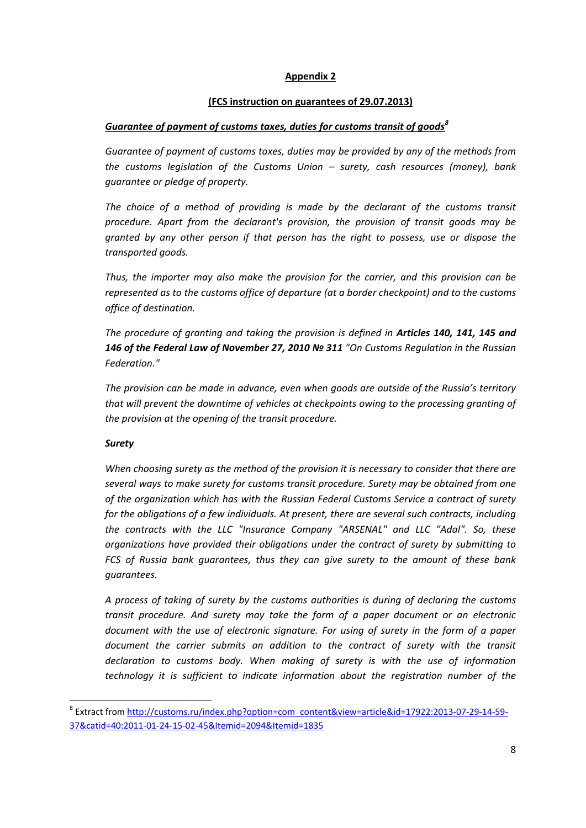#### **Appendix 2**

#### **(FCS instruction on guarantees of 29.07.2013)**

#### *Gu[arantee of payment of customs taxes, duties for customs transit of goods](http://customs.ru/index.php?option=com_content&view=article&id=17922:2013-07-29-14-59-37&catid=40:2011-01-24-15-02-45&Itemid=2094&Itemid=1835)<sup>8</sup>*

*Guarantee of payment of customs taxes, duties may be provided by any of the methods from the customs legislation of the Customs Union – surety, cash resources (money), bank guarantee or pledge of property.* 

The choice of a method of providing is made by the declarant of the customs transit *procedure. Apart from the declarant's provision, the provision of transit goods may be granted by any other person if that person has the right to possess, use or dispose the transported goods.* 

*Thus, the importer may also make the provision for the carrier, and this provision can be represented as to the customs office of departure (at a border checkpoint) and to the customs office of destination.* 

*The procedure of granting and taking the provision is defined in Articles 140, 141, 145 and 146 of the Federal Law of November 27, 2010 № 311 "On Customs Regulation in the Russian Federation."* 

*The provision can be made in advance, even when goods are outside of the Russia's territory that will prevent the downtime of vehicles at checkpoints owing to the processing granting of the provision at the opening of the transit procedure.* 

#### *Surety*

**.** 

*When choosing surety as the method of the provision it is necessary to consider that there are several ways to make surety for customs transit procedure. Surety may be obtained from one of the organization which has with the Russian Federal Customs Service a contract of surety for the obligations of a few individuals. At present, there are several such contracts, including the contracts with the LLC "Insurance Company "ARSENAL" and LLC "Adal". So, these organizations have provided their obligations under the contract of surety by submitting to FCS of Russia bank guarantees, thus they can give surety to the amount of these bank guarantees.* 

*A process of taking of surety by the customs authorities is during of declaring the customs transit procedure. And surety may take the form of a paper document or an electronic document with the use of electronic signature. For using of surety in the form of a paper document the carrier submits an addition to the contract of surety with the transit declaration to customs body. When making of surety is with the use of information technology it is sufficient to indicate information about the registration number of the* 

<sup>&</sup>lt;sup>8</sup> Extract from http://customs.ru/index.php?option=com\_content&view=article&id=17922:2013-07-29-14-59-[37&catid=40:2011-01-24-15-02-45&Itemid=2094&Itemid=1835](http://customs.ru/index.php?option=com_content&view=article&id=17922:2013-07-29-14-59-37&catid=40:2011-01-24-15-02-45&Itemid=2094&Itemid=1835)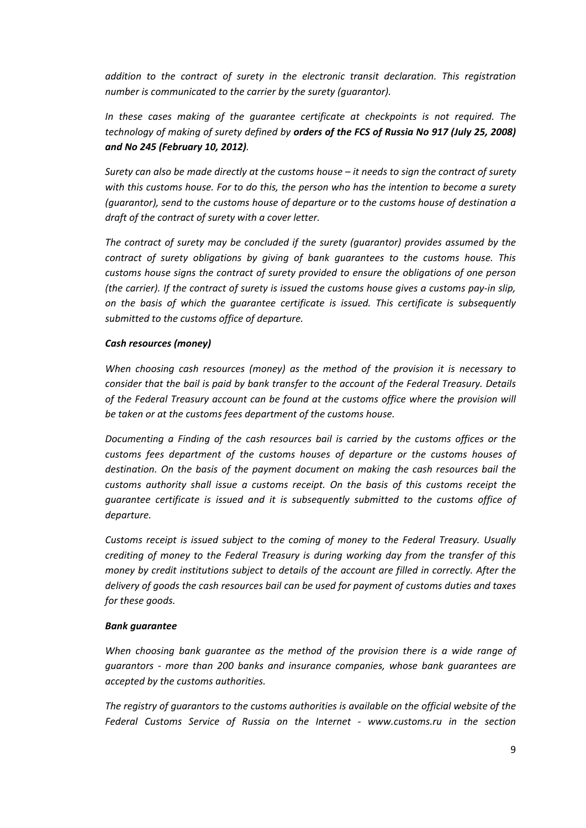*addition to the contract of surety in the electronic transit declaration. This registration number is communicated to the carrier by the surety (guarantor).* 

*In these cases making of the guarantee certificate at checkpoints is not required. The technology of making of surety defined by orders of the FCS of Russia No 917 (July 25, 2008) and No 245 (February 10, 2012).* 

*Surety can also be made directly at the customs house – it needs to sign the contract of surety with this customs house. For to do this, the person who has the intention to become a surety (guarantor), send to the customs house of departure or to the customs house of destination a draft of the contract of surety with a cover letter.* 

*The contract of surety may be concluded if the surety (guarantor) provides assumed by the contract of surety obligations by giving of bank guarantees to the customs house. This customs house signs the contract of surety provided to ensure the obligations of one person (the carrier). If the contract of surety is issued the customs house gives a customs pay-in slip, on the basis of which the guarantee certificate is issued. This certificate is subsequently submitted to the customs office of departure.* 

#### *Cash resources (money)*

*When choosing cash resources (money) as the method of the provision it is necessary to consider that the bail is paid by bank transfer to the account of the Federal Treasury. Details of the Federal Treasury account can be found at the customs office where the provision will be taken or at the customs fees department of the customs house.* 

*Documenting a Finding of the cash resources bail is carried by the customs offices or the customs fees department of the customs houses of departure or the customs houses of destination. On the basis of the payment document on making the cash resources bail the customs authority shall issue a customs receipt. On the basis of this customs receipt the guarantee certificate is issued and it is subsequently submitted to the customs office of departure.* 

*Customs receipt is issued subject to the coming of money to the Federal Treasury. Usually crediting of money to the Federal Treasury is during working day from the transfer of this money by credit institutions subject to details of the account are filled in correctly. After the delivery of goods the cash resources bail can be used for payment of customs duties and taxes for these goods.* 

#### *Bank guarantee*

*When choosing bank quarantee as the method of the provision there is a wide range of guarantors - more than 200 banks and insurance companies, whose bank guarantees are accepted by the customs authorities.* 

*The registry of guarantors to the customs authorities is available on the official website of the Federal Customs Service of Russia on the Internet - www.customs.ru in the section*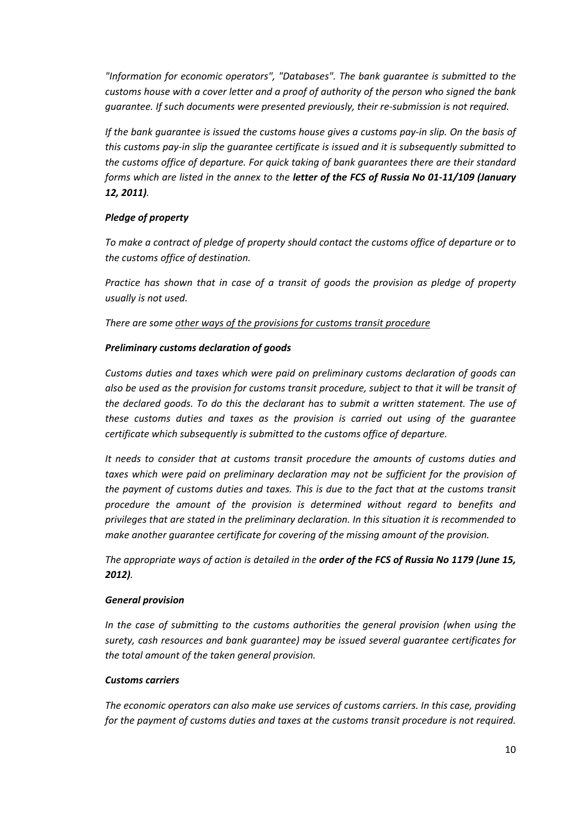*"Information for economic operators", "Databases". The bank guarantee is submitted to the customs house with a cover letter and a proof of authority of the person who signed the bank guarantee. If such documents were presented previously, their re-submission is not required.* 

*If the bank guarantee is issued the customs house gives a customs pay-in slip. On the basis of this customs pay-in slip the guarantee certificate is issued and it is subsequently submitted to the customs office of departure. For quick taking of bank guarantees there are their standard forms which are listed in the annex to the letter of the FCS of Russia No 01-11/109 (January 12, 2011).* 

#### *Pledge of property*

*To make a contract of pledge of property should contact the customs office of departure or to the customs office of destination.* 

*Practice has shown that in case of a transit of goods the provision as pledge of property usually is not used.*

*There are some other ways of the provisions for customs transit procedure*

#### *Preliminary customs declaration of goods*

*Customs duties and taxes which were paid on preliminary customs declaration of goods can also be used as the provision for customs transit procedure, subject to that it will be transit of the declared goods. To do this the declarant has to submit a written statement. The use of these customs duties and taxes as the provision is carried out using of the guarantee certificate which subsequently is submitted to the customs office of departure.* 

*It needs to consider that at customs transit procedure the amounts of customs duties and*  taxes which were paid on preliminary declaration may not be sufficient for the provision of *the payment of customs duties and taxes. This is due to the fact that at the customs transit procedure the amount of the provision is determined without regard to benefits and privileges that are stated in the preliminary declaration. In this situation it is recommended to make another guarantee certificate for covering of the missing amount of the provision.* 

*The appropriate ways of action is detailed in the order of the FCS of Russia No 1179 (June 15, 2012).* 

#### *General provision*

*In the case of submitting to the customs authorities the general provision (when using the surety, cash resources and bank guarantee) may be issued several guarantee certificates for the total amount of the taken general provision.* 

#### *Customs carriers*

*The economic operators can also make use services of customs carriers. In this case, providing for the payment of customs duties and taxes at the customs transit procedure is not required.*